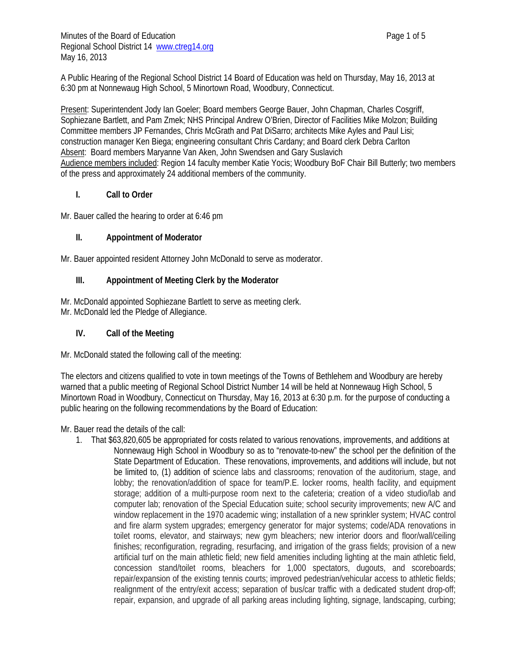A Public Hearing of the Regional School District 14 Board of Education was held on Thursday, May 16, 2013 at 6:30 pm at Nonnewaug High School, 5 Minortown Road, Woodbury, Connecticut.

Present: Superintendent Jody Ian Goeler; Board members George Bauer, John Chapman, Charles Cosgriff, Sophiezane Bartlett, and Pam Zmek; NHS Principal Andrew O'Brien, Director of Facilities Mike Molzon; Building Committee members JP Fernandes, Chris McGrath and Pat DiSarro; architects Mike Ayles and Paul Lisi; construction manager Ken Biega; engineering consultant Chris Cardany; and Board clerk Debra Carlton Absent: Board members Maryanne Van Aken, John Swendsen and Gary Suslavich Audience members included: Region 14 faculty member Katie Yocis; Woodbury BoF Chair Bill Butterly; two members of the press and approximately 24 additional members of the community.

# **I. Call to Order**

Mr. Bauer called the hearing to order at 6:46 pm

# **II. Appointment of Moderator**

Mr. Bauer appointed resident Attorney John McDonald to serve as moderator.

# **III. Appointment of Meeting Clerk by the Moderator**

Mr. McDonald appointed Sophiezane Bartlett to serve as meeting clerk. Mr. McDonald led the Pledge of Allegiance.

# **IV. Call of the Meeting**

Mr. McDonald stated the following call of the meeting:

The electors and citizens qualified to vote in town meetings of the Towns of Bethlehem and Woodbury are hereby warned that a public meeting of Regional School District Number 14 will be held at Nonnewaug High School, 5 Minortown Road in Woodbury, Connecticut on Thursday, May 16, 2013 at 6:30 p.m. for the purpose of conducting a public hearing on the following recommendations by the Board of Education:

Mr. Bauer read the details of the call:

1. That \$63,820,605 be appropriated for costs related to various renovations, improvements, and additions at Nonnewaug High School in Woodbury so as to "renovate-to-new" the school per the definition of the State Department of Education. These renovations, improvements, and additions will include, but not be limited to, (1) addition of science labs and classrooms; renovation of the auditorium, stage, and lobby; the renovation/addition of space for team/P.E. locker rooms, health facility, and equipment storage; addition of a multi-purpose room next to the cafeteria; creation of a video studio/lab and computer lab; renovation of the Special Education suite; school security improvements; new A/C and window replacement in the 1970 academic wing; installation of a new sprinkler system; HVAC control and fire alarm system upgrades; emergency generator for major systems; code/ADA renovations in toilet rooms, elevator, and stairways; new gym bleachers; new interior doors and floor/wall/ceiling finishes; reconfiguration, regrading, resurfacing, and irrigation of the grass fields; provision of a new artificial turf on the main athletic field; new field amenities including lighting at the main athletic field, concession stand/toilet rooms, bleachers for 1,000 spectators, dugouts, and scoreboards; repair/expansion of the existing tennis courts; improved pedestrian/vehicular access to athletic fields; realignment of the entry/exit access; separation of bus/car traffic with a dedicated student drop-off; repair, expansion, and upgrade of all parking areas including lighting, signage, landscaping, curbing;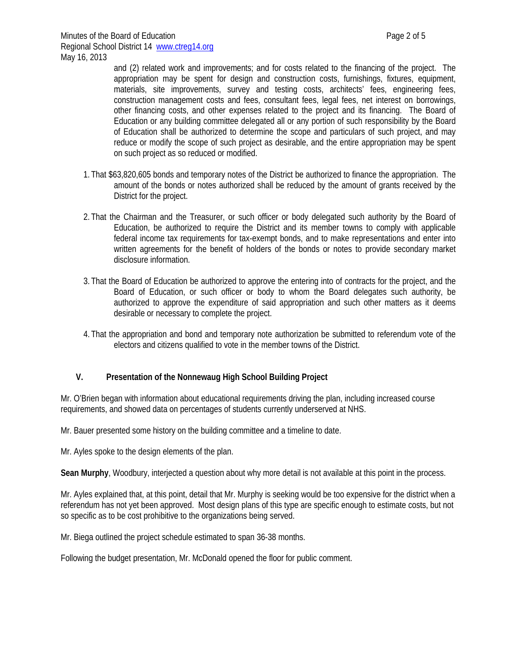and (2) related work and improvements; and for costs related to the financing of the project. The appropriation may be spent for design and construction costs, furnishings, fixtures, equipment, materials, site improvements, survey and testing costs, architects' fees, engineering fees, construction management costs and fees, consultant fees, legal fees, net interest on borrowings, other financing costs, and other expenses related to the project and its financing. The Board of Education or any building committee delegated all or any portion of such responsibility by the Board of Education shall be authorized to determine the scope and particulars of such project, and may reduce or modify the scope of such project as desirable, and the entire appropriation may be spent on such project as so reduced or modified.

- 1. That \$63,820,605 bonds and temporary notes of the District be authorized to finance the appropriation. The amount of the bonds or notes authorized shall be reduced by the amount of grants received by the District for the project.
- 2. That the Chairman and the Treasurer, or such officer or body delegated such authority by the Board of Education, be authorized to require the District and its member towns to comply with applicable federal income tax requirements for tax-exempt bonds, and to make representations and enter into written agreements for the benefit of holders of the bonds or notes to provide secondary market disclosure information.
- 3. That the Board of Education be authorized to approve the entering into of contracts for the project, and the Board of Education, or such officer or body to whom the Board delegates such authority, be authorized to approve the expenditure of said appropriation and such other matters as it deems desirable or necessary to complete the project.
- 4. That the appropriation and bond and temporary note authorization be submitted to referendum vote of the electors and citizens qualified to vote in the member towns of the District.

### **V. Presentation of the Nonnewaug High School Building Project**

Mr. O'Brien began with information about educational requirements driving the plan, including increased course requirements, and showed data on percentages of students currently underserved at NHS.

Mr. Bauer presented some history on the building committee and a timeline to date.

Mr. Ayles spoke to the design elements of the plan.

**Sean Murphy**, Woodbury, interjected a question about why more detail is not available at this point in the process.

Mr. Ayles explained that, at this point, detail that Mr. Murphy is seeking would be too expensive for the district when a referendum has not yet been approved. Most design plans of this type are specific enough to estimate costs, but not so specific as to be cost prohibitive to the organizations being served.

Mr. Biega outlined the project schedule estimated to span 36-38 months.

Following the budget presentation, Mr. McDonald opened the floor for public comment.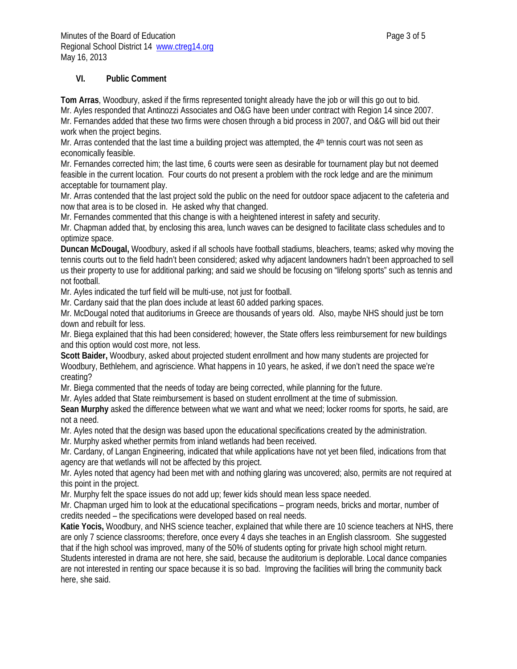### **VI. Public Comment**

**Tom Arras**, Woodbury, asked if the firms represented tonight already have the job or will this go out to bid. Mr. Ayles responded that Antinozzi Associates and O&G have been under contract with Region 14 since 2007. Mr. Fernandes added that these two firms were chosen through a bid process in 2007, and O&G will bid out their work when the project begins.

Mr. Arras contended that the last time a building project was attempted, the  $4<sup>th</sup>$  tennis court was not seen as economically feasible.

Mr. Fernandes corrected him; the last time, 6 courts were seen as desirable for tournament play but not deemed feasible in the current location. Four courts do not present a problem with the rock ledge and are the minimum acceptable for tournament play.

Mr. Arras contended that the last project sold the public on the need for outdoor space adjacent to the cafeteria and now that area is to be closed in. He asked why that changed.

Mr. Fernandes commented that this change is with a heightened interest in safety and security.

Mr. Chapman added that, by enclosing this area, lunch waves can be designed to facilitate class schedules and to optimize space.

**Duncan McDougal,** Woodbury, asked if all schools have football stadiums, bleachers, teams; asked why moving the tennis courts out to the field hadn't been considered; asked why adjacent landowners hadn't been approached to sell us their property to use for additional parking; and said we should be focusing on "lifelong sports" such as tennis and not football.

Mr. Ayles indicated the turf field will be multi-use, not just for football.

Mr. Cardany said that the plan does include at least 60 added parking spaces.

Mr. McDougal noted that auditoriums in Greece are thousands of years old. Also, maybe NHS should just be torn down and rebuilt for less.

Mr. Biega explained that this had been considered; however, the State offers less reimbursement for new buildings and this option would cost more, not less.

**Scott Baider,** Woodbury, asked about projected student enrollment and how many students are projected for Woodbury, Bethlehem, and agriscience. What happens in 10 years, he asked, if we don't need the space we're creating?

Mr. Biega commented that the needs of today are being corrected, while planning for the future.

Mr. Ayles added that State reimbursement is based on student enrollment at the time of submission.

**Sean Murphy** asked the difference between what we want and what we need; locker rooms for sports, he said, are not a need.

Mr. Ayles noted that the design was based upon the educational specifications created by the administration.

Mr. Murphy asked whether permits from inland wetlands had been received.

Mr. Cardany, of Langan Engineering, indicated that while applications have not yet been filed, indications from that agency are that wetlands will not be affected by this project.

Mr. Ayles noted that agency had been met with and nothing glaring was uncovered; also, permits are not required at this point in the project.

Mr. Murphy felt the space issues do not add up; fewer kids should mean less space needed.

Mr. Chapman urged him to look at the educational specifications – program needs, bricks and mortar, number of credits needed – the specifications were developed based on real needs.

**Katie Yocis,** Woodbury, and NHS science teacher, explained that while there are 10 science teachers at NHS, there are only 7 science classrooms; therefore, once every 4 days she teaches in an English classroom. She suggested that if the high school was improved, many of the 50% of students opting for private high school might return. Students interested in drama are not here, she said, because the auditorium is deplorable. Local dance companies are not interested in renting our space because it is so bad. Improving the facilities will bring the community back here, she said.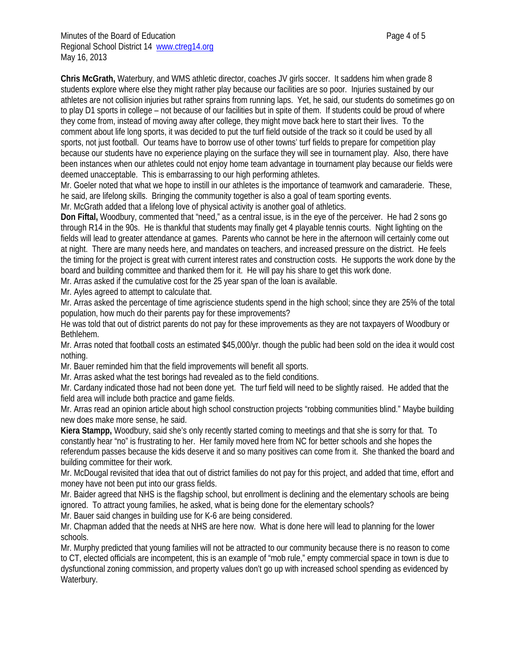**Chris McGrath,** Waterbury, and WMS athletic director, coaches JV girls soccer. It saddens him when grade 8 students explore where else they might rather play because our facilities are so poor. Injuries sustained by our athletes are not collision injuries but rather sprains from running laps. Yet, he said, our students do sometimes go on to play D1 sports in college – not because of our facilities but in spite of them. If students could be proud of where they come from, instead of moving away after college, they might move back here to start their lives. To the comment about life long sports, it was decided to put the turf field outside of the track so it could be used by all sports, not just football. Our teams have to borrow use of other towns' turf fields to prepare for competition play because our students have no experience playing on the surface they will see in tournament play. Also, there have been instances when our athletes could not enjoy home team advantage in tournament play because our fields were deemed unacceptable. This is embarrassing to our high performing athletes.

Mr. Goeler noted that what we hope to instill in our athletes is the importance of teamwork and camaraderie. These, he said, are lifelong skills. Bringing the community together is also a goal of team sporting events.

Mr. McGrath added that a lifelong love of physical activity is another goal of athletics.

**Don Fiftal,** Woodbury, commented that "need," as a central issue, is in the eye of the perceiver. He had 2 sons go through R14 in the 90s. He is thankful that students may finally get 4 playable tennis courts. Night lighting on the fields will lead to greater attendance at games. Parents who cannot be here in the afternoon will certainly come out at night. There are many needs here, and mandates on teachers, and increased pressure on the district. He feels the timing for the project is great with current interest rates and construction costs. He supports the work done by the board and building committee and thanked them for it. He will pay his share to get this work done.

Mr. Arras asked if the cumulative cost for the 25 year span of the loan is available.

Mr. Ayles agreed to attempt to calculate that.

Mr. Arras asked the percentage of time agriscience students spend in the high school; since they are 25% of the total population, how much do their parents pay for these improvements?

He was told that out of district parents do not pay for these improvements as they are not taxpayers of Woodbury or Bethlehem.

Mr. Arras noted that football costs an estimated \$45,000/yr. though the public had been sold on the idea it would cost nothing.

Mr. Bauer reminded him that the field improvements will benefit all sports.

Mr. Arras asked what the test borings had revealed as to the field conditions.

Mr. Cardany indicated those had not been done yet. The turf field will need to be slightly raised. He added that the field area will include both practice and game fields.

Mr. Arras read an opinion article about high school construction projects "robbing communities blind." Maybe building new does make more sense, he said.

**Kiera Stampp,** Woodbury, said she's only recently started coming to meetings and that she is sorry for that. To constantly hear "no" is frustrating to her. Her family moved here from NC for better schools and she hopes the referendum passes because the kids deserve it and so many positives can come from it. She thanked the board and building committee for their work.

Mr. McDougal revisited that idea that out of district families do not pay for this project, and added that time, effort and money have not been put into our grass fields.

Mr. Baider agreed that NHS is the flagship school, but enrollment is declining and the elementary schools are being ignored. To attract young families, he asked, what is being done for the elementary schools?

Mr. Bauer said changes in building use for K-6 are being considered.

Mr. Chapman added that the needs at NHS are here now. What is done here will lead to planning for the lower schools.

Mr. Murphy predicted that young families will not be attracted to our community because there is no reason to come to CT, elected officials are incompetent, this is an example of "mob rule," empty commercial space in town is due to dysfunctional zoning commission, and property values don't go up with increased school spending as evidenced by Waterbury.